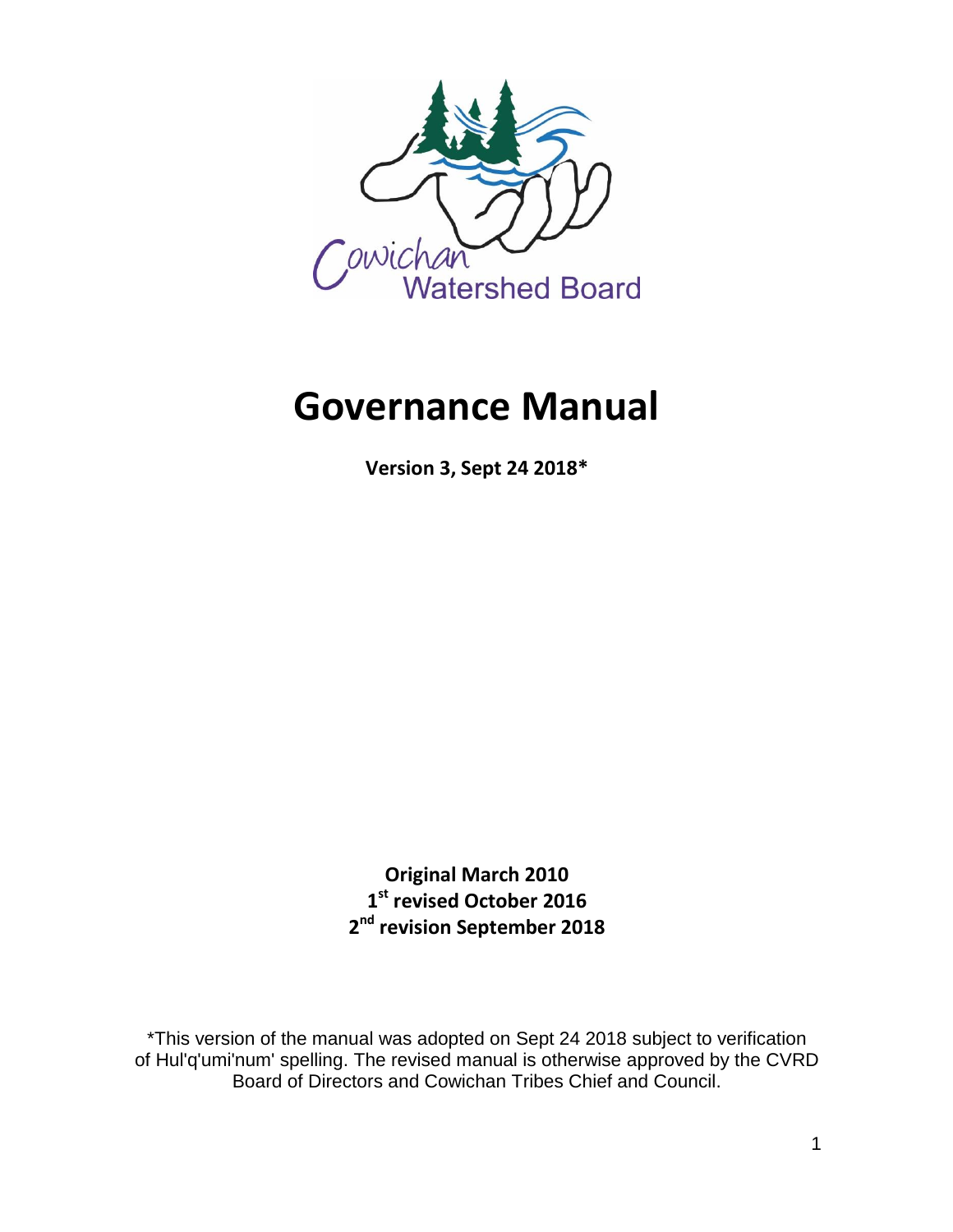

# **Governance Manual**

**Version 3, Sept 24 2018\***

**Original March 2010 1 st revised October 2016 2 nd revision September 2018** 

\*This version of the manual was adopted on Sept 24 2018 subject to verification of Hul'q'umi'num' spelling. The revised manual is otherwise approved by the CVRD Board of Directors and Cowichan Tribes Chief and Council.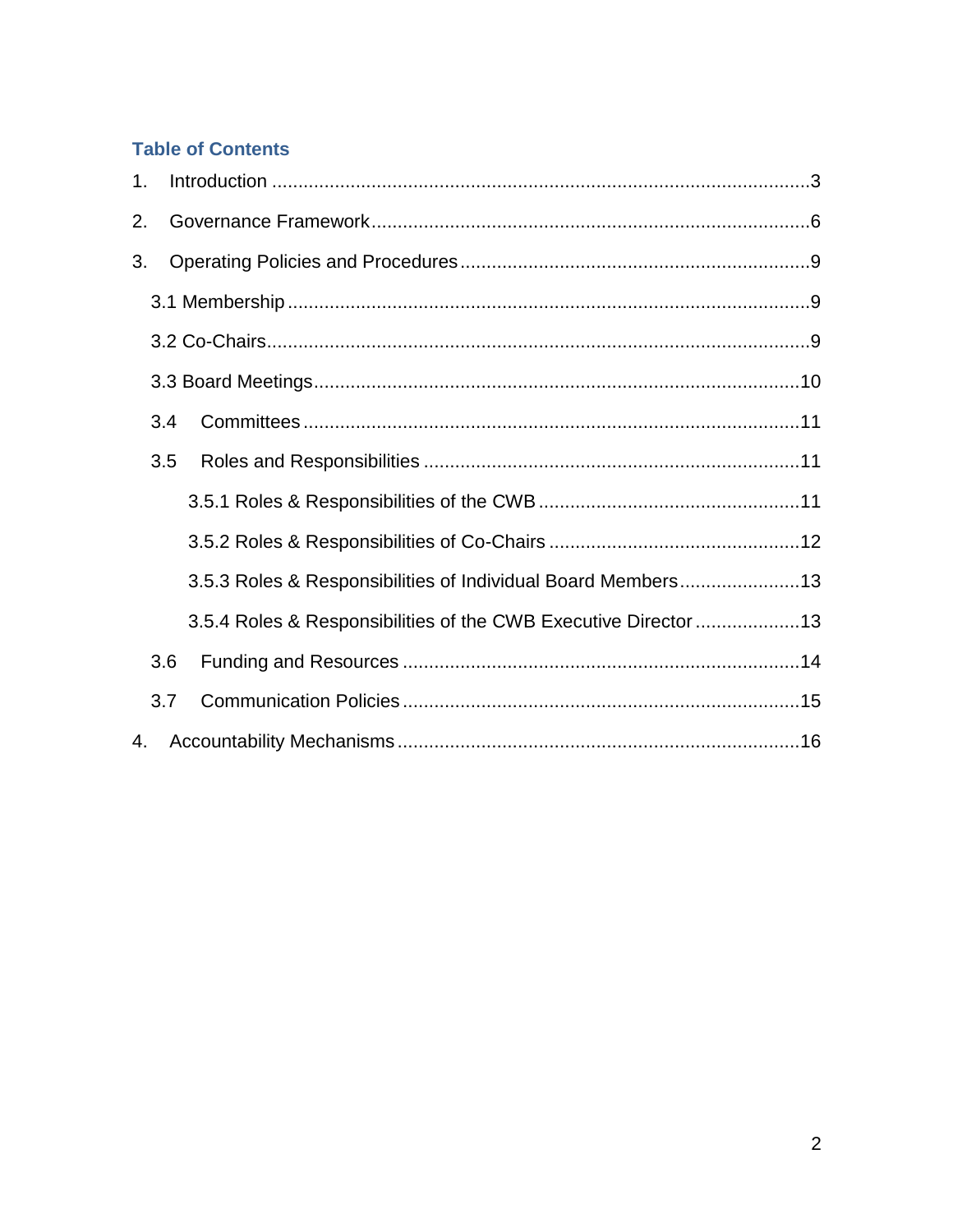## **Table of Contents**

| $\mathbf{1}$ . |     |                                                                 |  |
|----------------|-----|-----------------------------------------------------------------|--|
| 2.             |     |                                                                 |  |
| 3.             |     |                                                                 |  |
|                |     |                                                                 |  |
|                |     |                                                                 |  |
|                |     |                                                                 |  |
|                | 3.4 |                                                                 |  |
|                | 3.5 |                                                                 |  |
|                |     |                                                                 |  |
|                |     |                                                                 |  |
|                |     | 3.5.3 Roles & Responsibilities of Individual Board Members13    |  |
|                |     | 3.5.4 Roles & Responsibilities of the CWB Executive Director 13 |  |
|                | 3.6 |                                                                 |  |
|                | 3.7 |                                                                 |  |
| 4.             |     |                                                                 |  |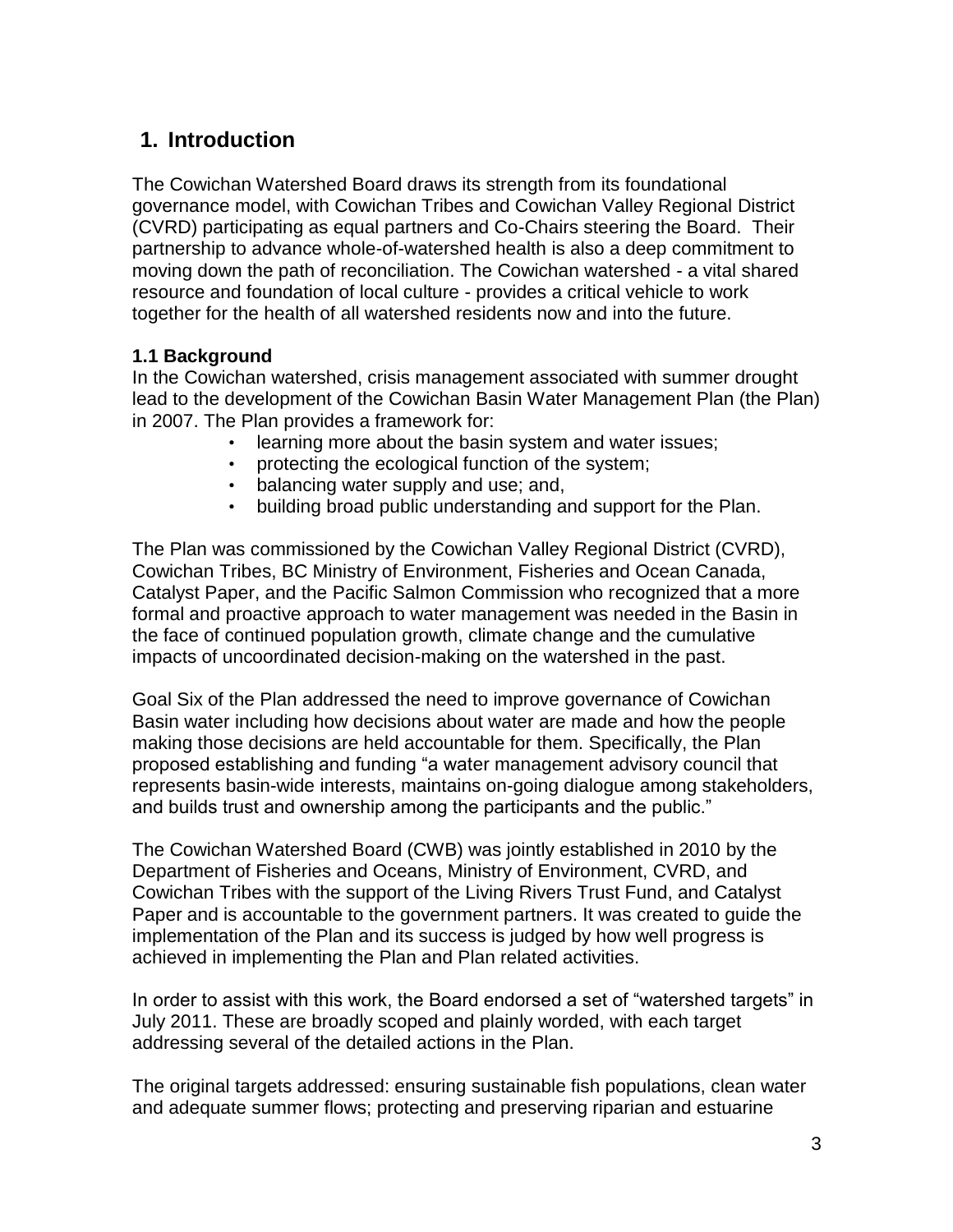# <span id="page-2-0"></span>**1. Introduction**

The Cowichan Watershed Board draws its strength from its foundational governance model, with Cowichan Tribes and Cowichan Valley Regional District (CVRD) participating as equal partners and Co-Chairs steering the Board. Their partnership to advance whole-of-watershed health is also a deep commitment to moving down the path of reconciliation. The Cowichan watershed - a vital shared resource and foundation of local culture - provides a critical vehicle to work together for the health of all watershed residents now and into the future.

#### **1.1 Background**

In the Cowichan watershed, crisis management associated with summer drought lead to the development of the Cowichan Basin Water Management Plan (the Plan) in 2007. The Plan provides a framework for:

- learning more about the basin system and water issues;
- protecting the ecological function of the system;
- balancing water supply and use; and,
- building broad public understanding and support for the Plan.

The Plan was commissioned by the Cowichan Valley Regional District (CVRD), Cowichan Tribes, BC Ministry of Environment, Fisheries and Ocean Canada, Catalyst Paper, and the Pacific Salmon Commission who recognized that a more formal and proactive approach to water management was needed in the Basin in the face of continued population growth, climate change and the cumulative impacts of uncoordinated decision-making on the watershed in the past.

Goal Six of the Plan addressed the need to improve governance of Cowichan Basin water including how decisions about water are made and how the people making those decisions are held accountable for them. Specifically, the Plan proposed establishing and funding "a water management advisory council that represents basin-wide interests, maintains on-going dialogue among stakeholders, and builds trust and ownership among the participants and the public."

The Cowichan Watershed Board (CWB) was jointly established in 2010 by the Department of Fisheries and Oceans, Ministry of Environment, CVRD, and Cowichan Tribes with the support of the Living Rivers Trust Fund, and Catalyst Paper and is accountable to the government partners. It was created to guide the implementation of the Plan and its success is judged by how well progress is achieved in implementing the Plan and Plan related activities.

In order to assist with this work, the Board endorsed a set of "watershed targets" in July 2011. These are broadly scoped and plainly worded, with each target addressing several of the detailed actions in the Plan.

The original targets addressed: ensuring sustainable fish populations, clean water and adequate summer flows; protecting and preserving riparian and estuarine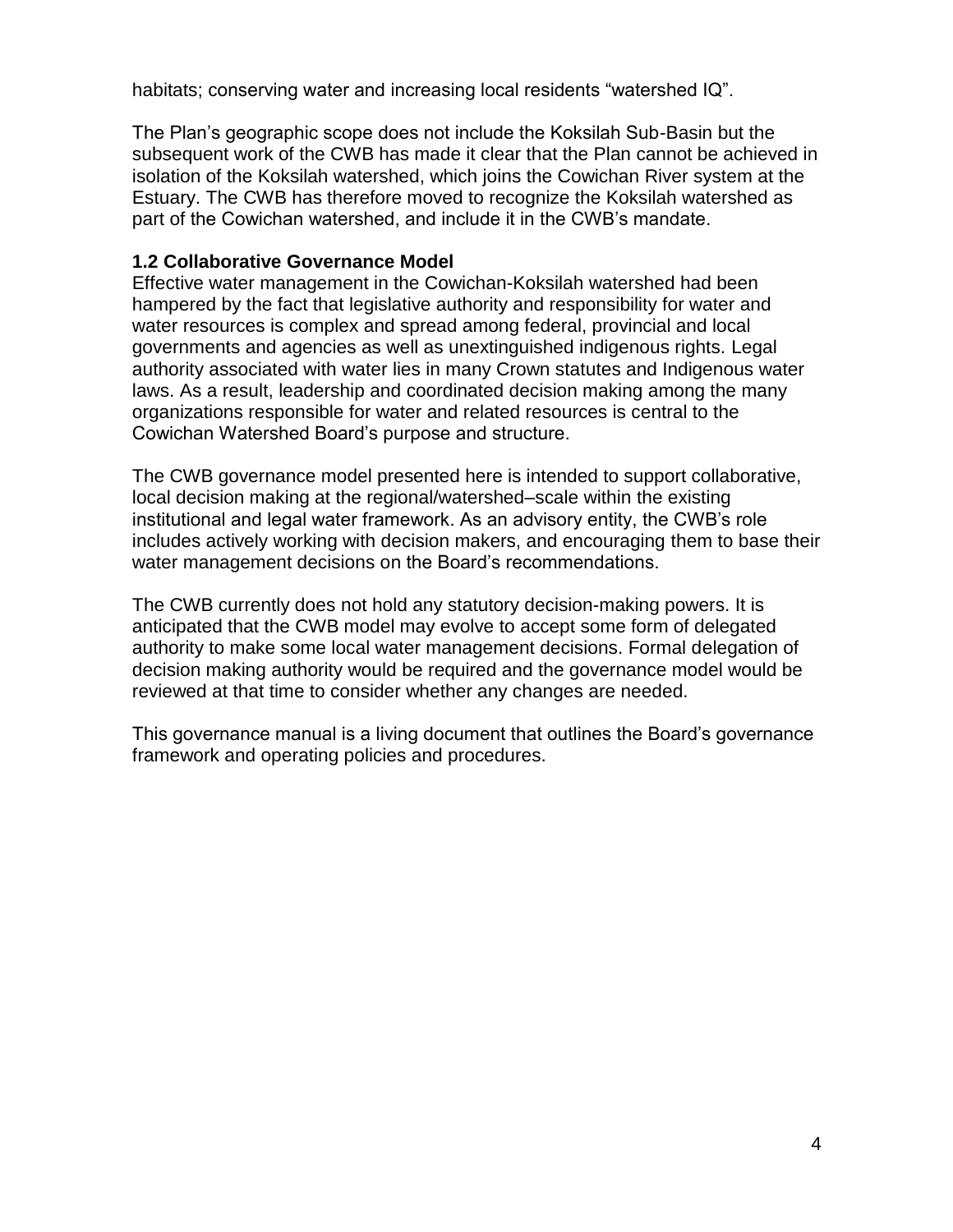habitats; conserving water and increasing local residents "watershed IQ".

The Plan's geographic scope does not include the Koksilah Sub-Basin but the subsequent work of the CWB has made it clear that the Plan cannot be achieved in isolation of the Koksilah watershed, which joins the Cowichan River system at the Estuary. The CWB has therefore moved to recognize the Koksilah watershed as part of the Cowichan watershed, and include it in the CWB's mandate.

#### **1.2 Collaborative Governance Model**

Effective water management in the Cowichan-Koksilah watershed had been hampered by the fact that legislative authority and responsibility for water and water resources is complex and spread among federal, provincial and local governments and agencies as well as unextinguished indigenous rights. Legal authority associated with water lies in many Crown statutes and Indigenous water laws. As a result, leadership and coordinated decision making among the many organizations responsible for water and related resources is central to the Cowichan Watershed Board's purpose and structure.

The CWB governance model presented here is intended to support collaborative, local decision making at the regional/watershed–scale within the existing institutional and legal water framework. As an advisory entity, the CWB's role includes actively working with decision makers, and encouraging them to base their water management decisions on the Board's recommendations.

The CWB currently does not hold any statutory decision-making powers. It is anticipated that the CWB model may evolve to accept some form of delegated authority to make some local water management decisions. Formal delegation of decision making authority would be required and the governance model would be reviewed at that time to consider whether any changes are needed.

This governance manual is a living document that outlines the Board's governance framework and operating policies and procedures.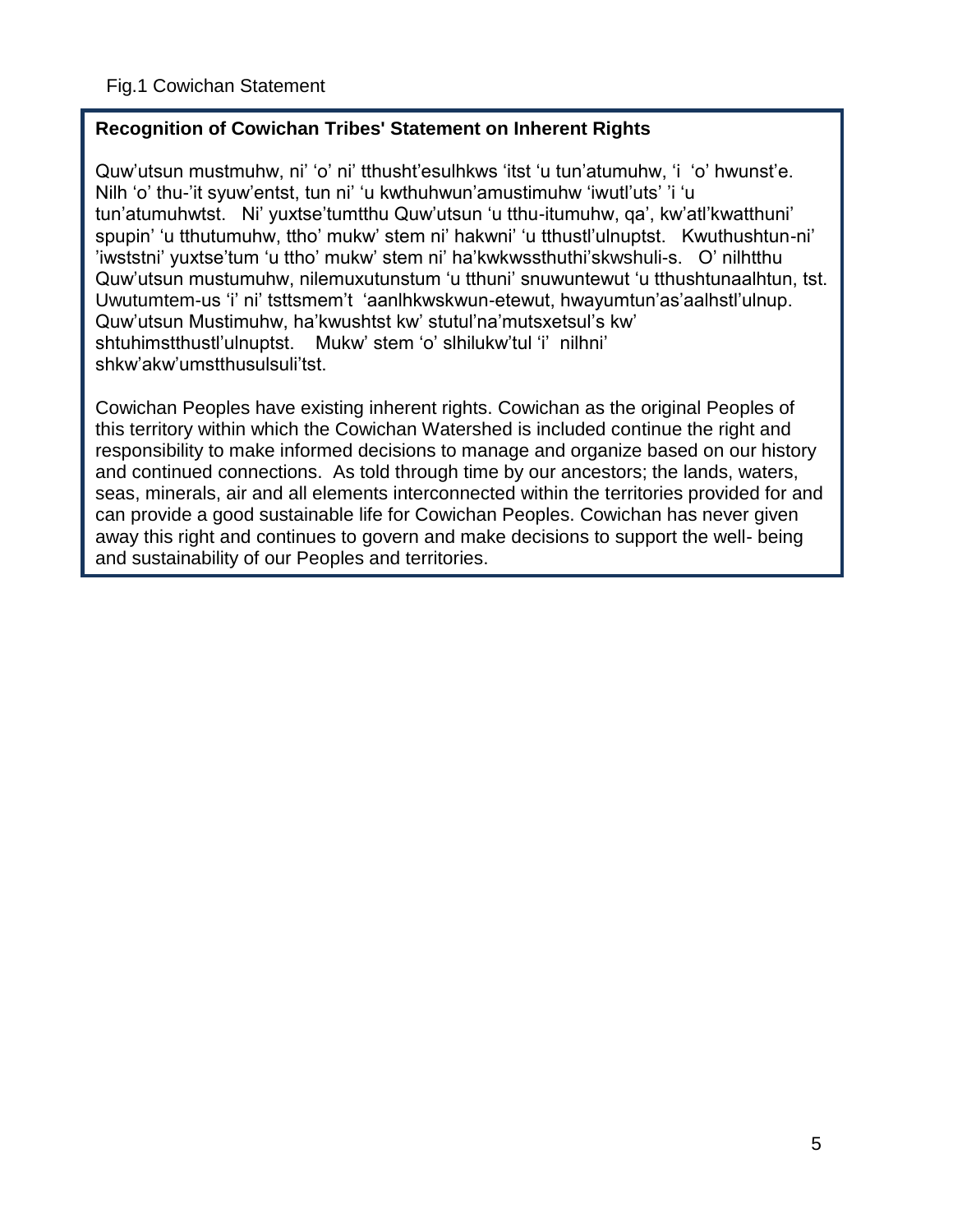## **Recognition of Cowichan Tribes' Statement on Inherent Rights**

Quw'utsun mustmuhw, ni' 'o' ni' tthusht'esulhkws 'itst 'u tun'atumuhw, 'i 'o' hwunst'e. Nilh 'o' thu-'it syuw'entst, tun ni' 'u kwthuhwun'amustimuhw 'iwutl'uts' 'i 'u tun'atumuhwtst. Ni' yuxtse'tumtthu Quw'utsun 'u tthu-itumuhw, qa', kw'atl'kwatthuni' spupin' 'u tthutumuhw, ttho' mukw' stem ni' hakwni' 'u tthustl'ulnuptst. Kwuthushtun-ni' 'iwststni' yuxtse'tum 'u ttho' mukw' stem ni' ha'kwkwssthuthi'skwshuli-s. O' nilhtthu Quw'utsun mustumuhw, nilemuxutunstum 'u tthuni' snuwuntewut 'u tthushtunaalhtun, tst. Uwutumtem-us 'i' ni' tsttsmem't 'aanlhkwskwun-etewut, hwayumtun'as'aalhstl'ulnup. Quw'utsun Mustimuhw, ha'kwushtst kw' stutul'na'mutsxetsul's kw' shtuhimstthustl'ulnuptst. Mukw' stem 'o' slhilukw'tul 'i' nilhni' shkw'akw'umstthusulsuli'tst.

Cowichan Peoples have existing inherent rights. Cowichan as the original Peoples of this territory within which the Cowichan Watershed is included continue the right and responsibility to make informed decisions to manage and organize based on our history and continued connections. As told through time by our ancestors; the lands, waters, seas, minerals, air and all elements interconnected within the territories provided for and can provide a good sustainable life for Cowichan Peoples. Cowichan has never given away this right and continues to govern and make decisions to support the well- being and sustainability of our Peoples and territories.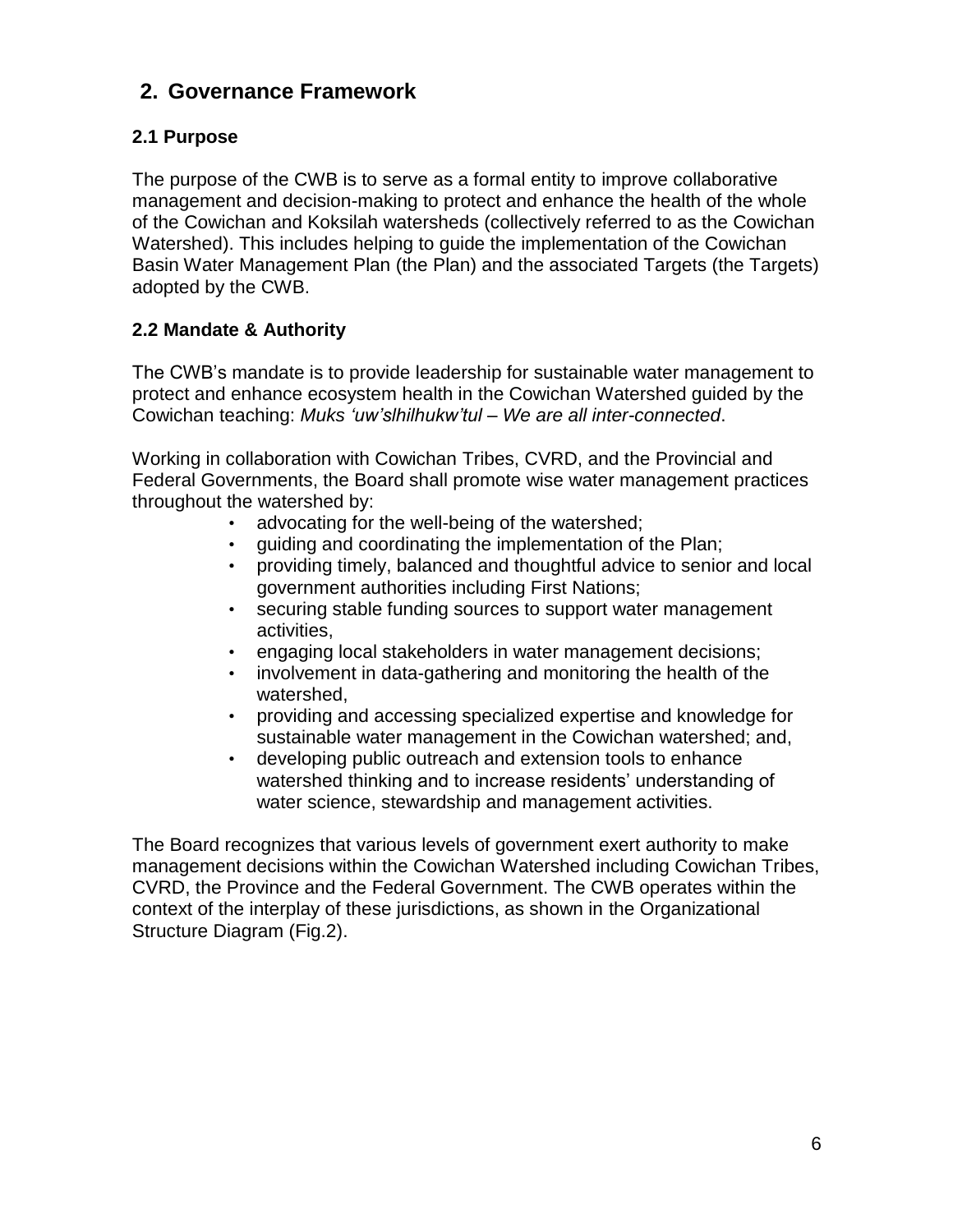# <span id="page-5-0"></span>**2. Governance Framework**

## **2.1 Purpose**

The purpose of the CWB is to serve as a formal entity to improve collaborative management and decision-making to protect and enhance the health of the whole of the Cowichan and Koksilah watersheds (collectively referred to as the Cowichan Watershed). This includes helping to guide the implementation of the Cowichan Basin Water Management Plan (the Plan) and the associated Targets (the Targets) adopted by the CWB.

## **2.2 Mandate & Authority**

The CWB's mandate is to provide leadership for sustainable water management to protect and enhance ecosystem health in the Cowichan Watershed guided by the Cowichan teaching: *Muks 'uw'slhilhukw'tul – We are all inter-connected*.

Working in collaboration with Cowichan Tribes, CVRD, and the Provincial and Federal Governments, the Board shall promote wise water management practices throughout the watershed by:

- advocating for the well-being of the watershed;
- guiding and coordinating the implementation of the Plan;
- providing timely, balanced and thoughtful advice to senior and local government authorities including First Nations;
- securing stable funding sources to support water management activities,
- engaging local stakeholders in water management decisions;
- involvement in data-gathering and monitoring the health of the watershed,
- providing and accessing specialized expertise and knowledge for sustainable water management in the Cowichan watershed; and,
- developing public outreach and extension tools to enhance watershed thinking and to increase residents' understanding of water science, stewardship and management activities.

The Board recognizes that various levels of government exert authority to make management decisions within the Cowichan Watershed including Cowichan Tribes, CVRD, the Province and the Federal Government. The CWB operates within the context of the interplay of these jurisdictions, as shown in the Organizational Structure Diagram (Fig.2).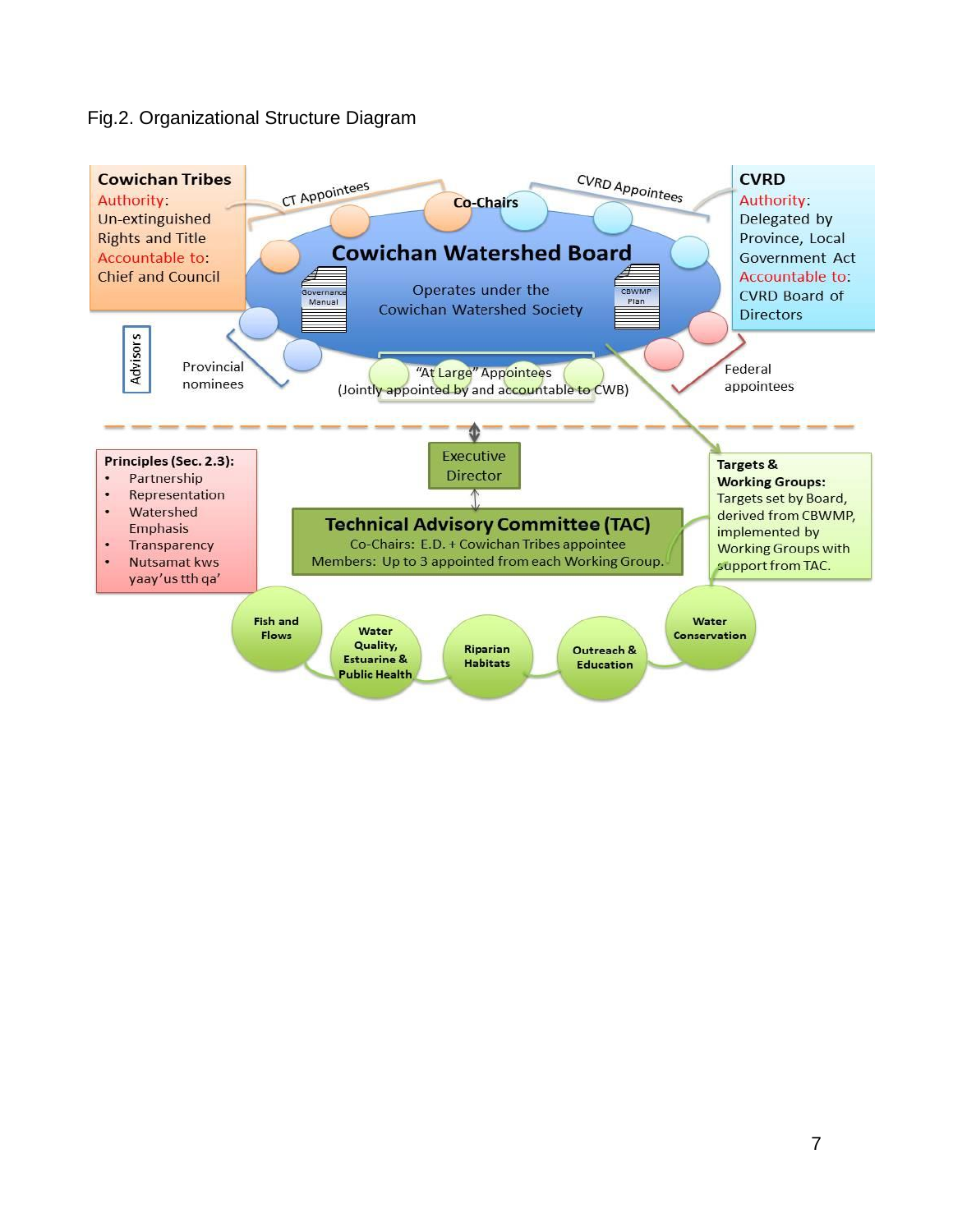## Fig.2. Organizational Structure Diagram

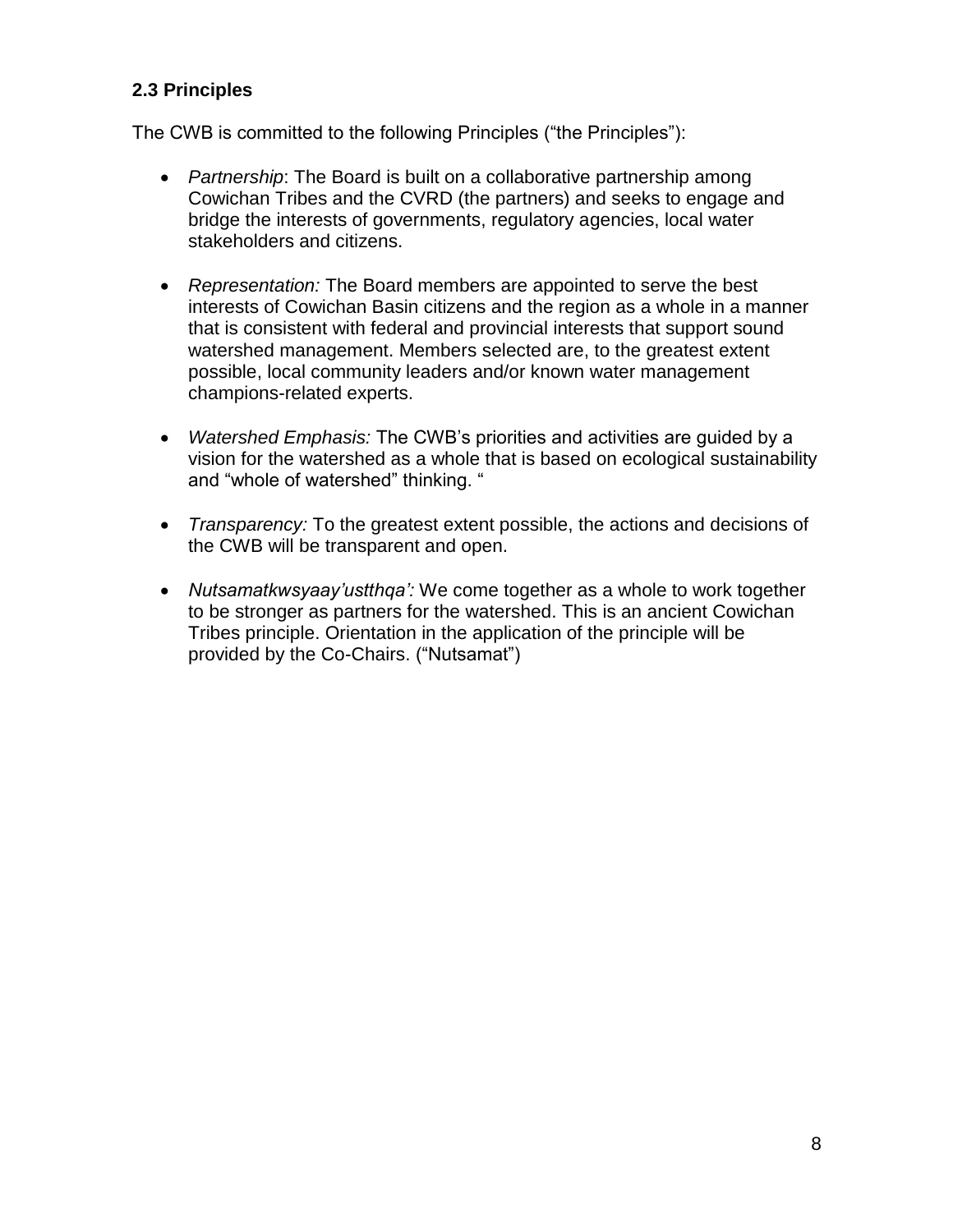## **2.3 Principles**

The CWB is committed to the following Principles ("the Principles"):

- *Partnership*: The Board is built on a collaborative partnership among Cowichan Tribes and the CVRD (the partners) and seeks to engage and bridge the interests of governments, regulatory agencies, local water stakeholders and citizens.
- *Representation:* The Board members are appointed to serve the best interests of Cowichan Basin citizens and the region as a whole in a manner that is consistent with federal and provincial interests that support sound watershed management. Members selected are, to the greatest extent possible, local community leaders and/or known water management champions-related experts.
- *Watershed Emphasis:* The CWB's priorities and activities are guided by a vision for the watershed as a whole that is based on ecological sustainability and "whole of watershed" thinking. "
- *Transparency:* To the greatest extent possible, the actions and decisions of the CWB will be transparent and open.
- *Nutsamatkwsyaay'ustthqa':* We come together as a whole to work together to be stronger as partners for the watershed. This is an ancient Cowichan Tribes principle. Orientation in the application of the principle will be provided by the Co-Chairs. ("Nutsamat")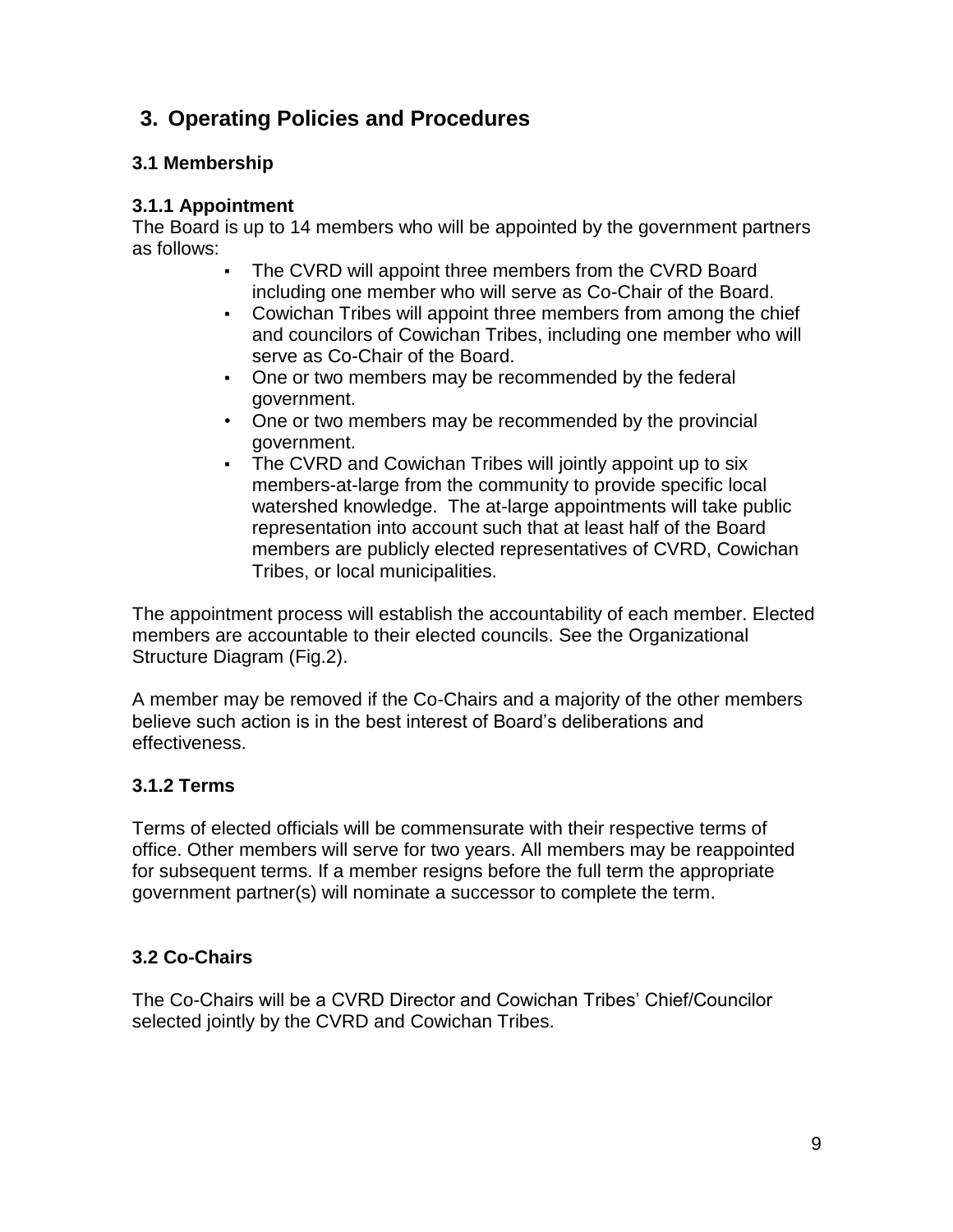# <span id="page-8-0"></span>**3. Operating Policies and Procedures**

## <span id="page-8-1"></span>**3.1 Membership**

### **3.1.1 Appointment**

The Board is up to 14 members who will be appointed by the government partners as follows:

- The CVRD will appoint three members from the CVRD Board including one member who will serve as Co-Chair of the Board.
- Cowichan Tribes will appoint three members from among the chief and councilors of Cowichan Tribes, including one member who will serve as Co-Chair of the Board.
- One or two members may be recommended by the federal government.
- One or two members may be recommended by the provincial government.
- The CVRD and Cowichan Tribes will jointly appoint up to six members-at-large from the community to provide specific local watershed knowledge. The at-large appointments will take public representation into account such that at least half of the Board members are publicly elected representatives of CVRD, Cowichan Tribes, or local municipalities.

The appointment process will establish the accountability of each member. Elected members are accountable to their elected councils. See the Organizational Structure Diagram (Fig.2).

A member may be removed if the Co-Chairs and a majority of the other members believe such action is in the best interest of Board's deliberations and effectiveness.

## **3.1.2 Terms**

Terms of elected officials will be commensurate with their respective terms of office. Other members will serve for two years. All members may be reappointed for subsequent terms. If a member resigns before the full term the appropriate government partner(s) will nominate a successor to complete the term.

## <span id="page-8-2"></span>**3.2 Co-Chairs**

The Co-Chairs will be a CVRD Director and Cowichan Tribes' Chief/Councilor selected jointly by the CVRD and Cowichan Tribes.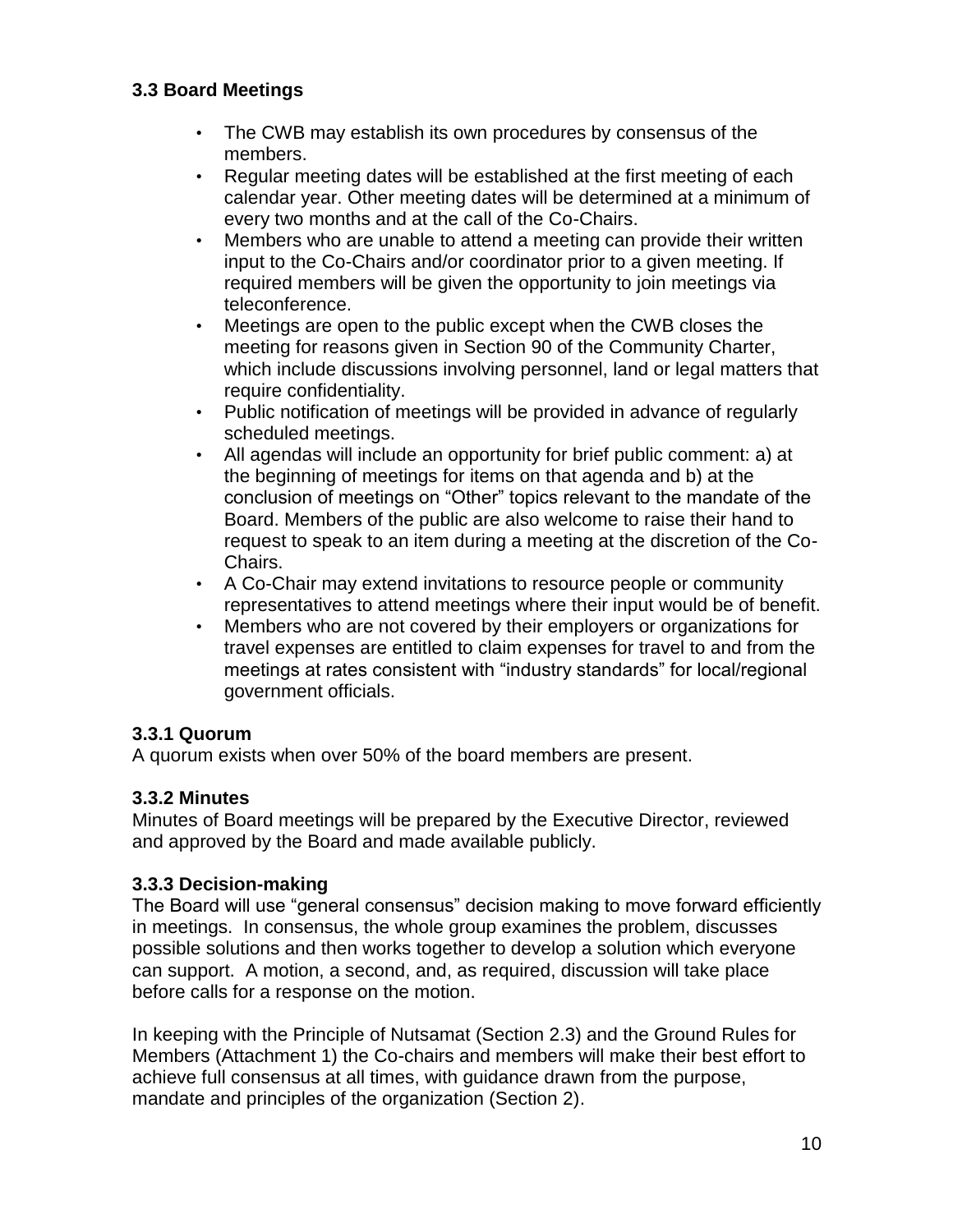## <span id="page-9-0"></span>**3.3 Board Meetings**

- The CWB may establish its own procedures by consensus of the members.
- Regular meeting dates will be established at the first meeting of each calendar year. Other meeting dates will be determined at a minimum of every two months and at the call of the Co-Chairs.
- Members who are unable to attend a meeting can provide their written input to the Co-Chairs and/or coordinator prior to a given meeting. If required members will be given the opportunity to join meetings via teleconference.
- Meetings are open to the public except when the CWB closes the meeting for reasons given in Section 90 of the Community Charter, which include discussions involving personnel, land or legal matters that require confidentiality.
- Public notification of meetings will be provided in advance of regularly scheduled meetings.
- All agendas will include an opportunity for brief public comment: a) at the beginning of meetings for items on that agenda and b) at the conclusion of meetings on "Other" topics relevant to the mandate of the Board. Members of the public are also welcome to raise their hand to request to speak to an item during a meeting at the discretion of the Co-Chairs.
- A Co-Chair may extend invitations to resource people or community representatives to attend meetings where their input would be of benefit.
- Members who are not covered by their employers or organizations for travel expenses are entitled to claim expenses for travel to and from the meetings at rates consistent with "industry standards" for local/regional government officials.

## **3.3.1 Quorum**

A quorum exists when over 50% of the board members are present.

#### **3.3.2 Minutes**

Minutes of Board meetings will be prepared by the Executive Director, reviewed and approved by the Board and made available publicly.

#### **3.3.3 Decision-making**

The Board will use "general consensus" decision making to move forward efficiently in meetings. In consensus, the whole group examines the problem, discusses possible solutions and then works together to develop a solution which everyone can support. A motion, a second, and, as required, discussion will take place before calls for a response on the motion.

In keeping with the Principle of Nutsamat (Section 2.3) and the Ground Rules for Members (Attachment 1) the Co-chairs and members will make their best effort to achieve full consensus at all times, with guidance drawn from the purpose, mandate and principles of the organization (Section 2).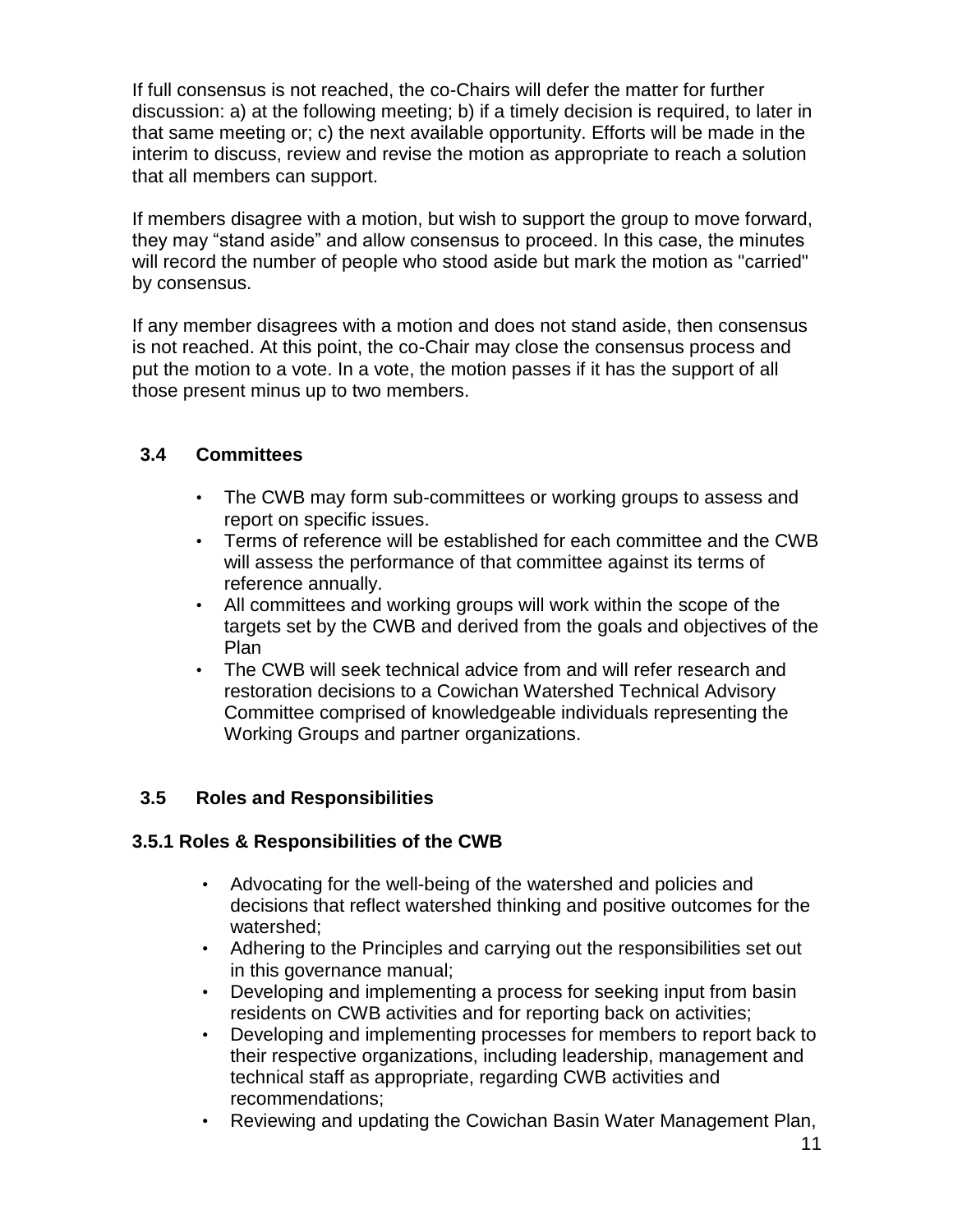If full consensus is not reached, the co-Chairs will defer the matter for further discussion: a) at the following meeting; b) if a timely decision is required, to later in that same meeting or; c) the next available opportunity. Efforts will be made in the interim to discuss, review and revise the motion as appropriate to reach a solution that all members can support.

If members disagree with a motion, but wish to support the group to move forward, they may "stand aside" and allow consensus to proceed. In this case, the minutes will record the number of people who stood aside but mark the motion as "carried" by consensus.

If any member disagrees with a motion and does not stand aside, then consensus is not reached. At this point, the co-Chair may close the consensus process and put the motion to a vote. In a vote, the motion passes if it has the support of all those present minus up to two members.

## <span id="page-10-0"></span>**3.4 Committees**

- The CWB may form sub-committees or working groups to assess and report on specific issues.
- Terms of reference will be established for each committee and the CWB will assess the performance of that committee against its terms of reference annually.
- All committees and working groups will work within the scope of the targets set by the CWB and derived from the goals and objectives of the Plan
- The CWB will seek technical advice from and will refer research and restoration decisions to a Cowichan Watershed Technical Advisory Committee comprised of knowledgeable individuals representing the Working Groups and partner organizations.

## <span id="page-10-1"></span>**3.5 Roles and Responsibilities**

#### <span id="page-10-2"></span>**3.5.1 Roles & Responsibilities of the CWB**

- Advocating for the well-being of the watershed and policies and decisions that reflect watershed thinking and positive outcomes for the watershed;
- Adhering to the Principles and carrying out the responsibilities set out in this governance manual;
- Developing and implementing a process for seeking input from basin residents on CWB activities and for reporting back on activities;
- Developing and implementing processes for members to report back to their respective organizations, including leadership, management and technical staff as appropriate, regarding CWB activities and recommendations;
- Reviewing and updating the Cowichan Basin Water Management Plan,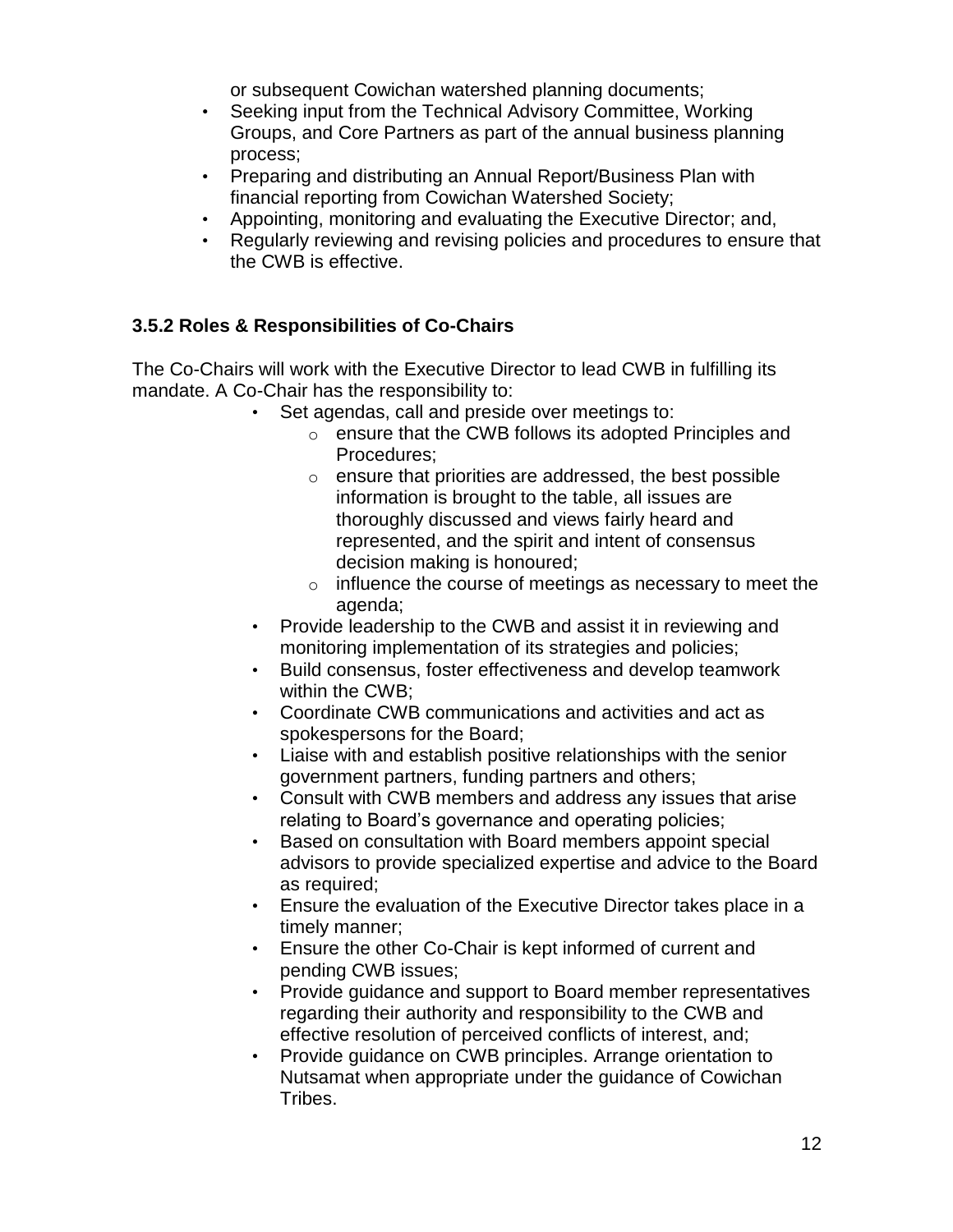or subsequent Cowichan watershed planning documents;

- Seeking input from the Technical Advisory Committee, Working Groups, and Core Partners as part of the annual business planning process;
- Preparing and distributing an Annual Report/Business Plan with financial reporting from Cowichan Watershed Society;
- Appointing, monitoring and evaluating the Executive Director; and,
- Regularly reviewing and revising policies and procedures to ensure that the CWB is effective.

## <span id="page-11-0"></span>**3.5.2 Roles & Responsibilities of Co-Chairs**

The Co-Chairs will work with the Executive Director to lead CWB in fulfilling its mandate. A Co-Chair has the responsibility to:

- Set agendas, call and preside over meetings to:
	- o ensure that the CWB follows its adopted Principles and Procedures;
	- $\circ$  ensure that priorities are addressed, the best possible information is brought to the table, all issues are thoroughly discussed and views fairly heard and represented, and the spirit and intent of consensus decision making is honoured;
	- o influence the course of meetings as necessary to meet the agenda;
- Provide leadership to the CWB and assist it in reviewing and monitoring implementation of its strategies and policies;
- Build consensus, foster effectiveness and develop teamwork within the CWB;
- Coordinate CWB communications and activities and act as spokespersons for the Board;
- Liaise with and establish positive relationships with the senior government partners, funding partners and others;
- Consult with CWB members and address any issues that arise relating to Board's governance and operating policies;
- Based on consultation with Board members appoint special advisors to provide specialized expertise and advice to the Board as required;
- Ensure the evaluation of the Executive Director takes place in a timely manner;
- Ensure the other Co-Chair is kept informed of current and pending CWB issues;
- Provide guidance and support to Board member representatives regarding their authority and responsibility to the CWB and effective resolution of perceived conflicts of interest, and;
- Provide guidance on CWB principles. Arrange orientation to Nutsamat when appropriate under the guidance of Cowichan Tribes.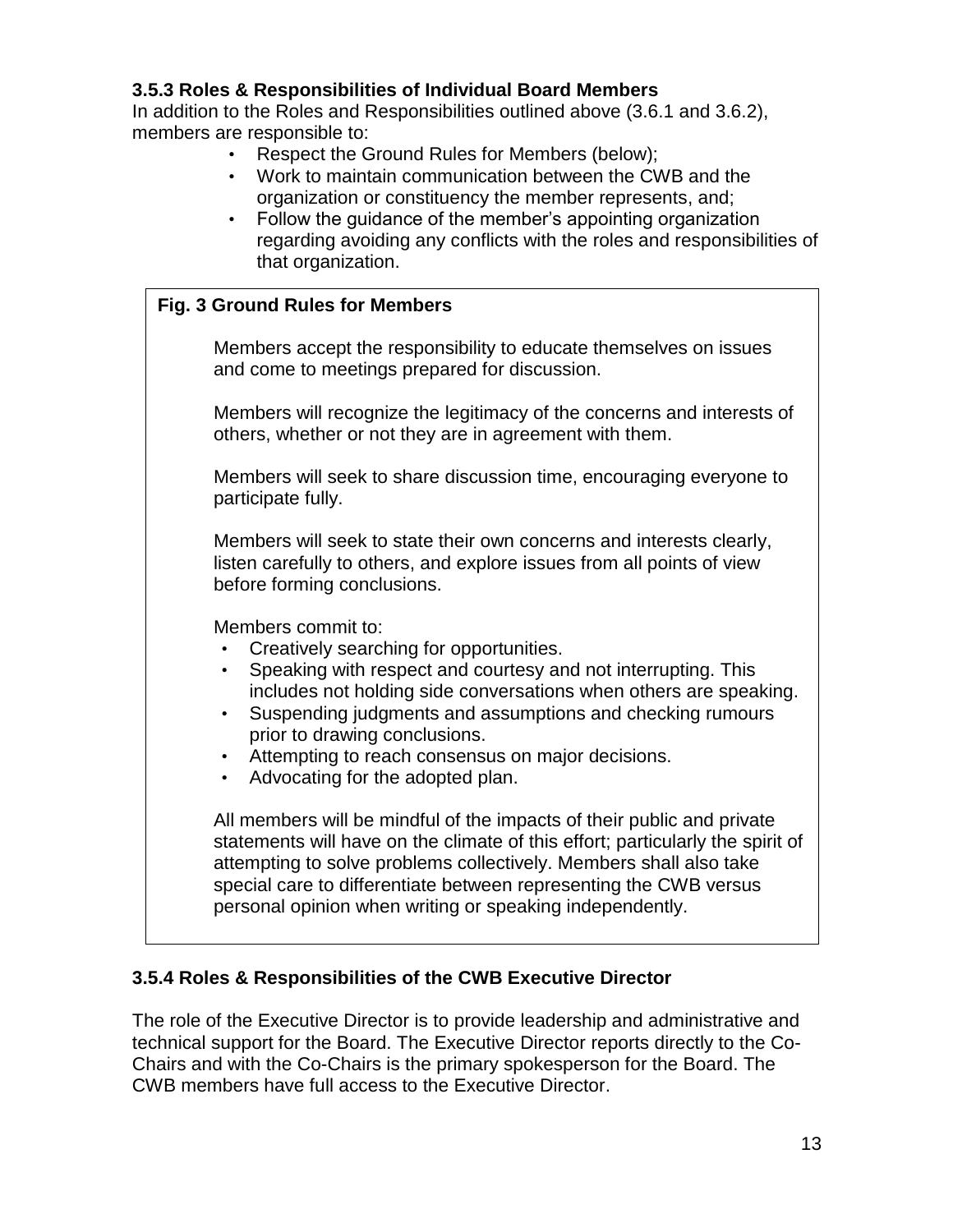## <span id="page-12-0"></span>**3.5.3 Roles & Responsibilities of Individual Board Members**

In addition to the Roles and Responsibilities outlined above (3.6.1 and 3.6.2), members are responsible to:

- Respect the Ground Rules for Members (below);
- Work to maintain communication between the CWB and the organization or constituency the member represents, and;
- Follow the guidance of the member's appointing organization regarding avoiding any conflicts with the roles and responsibilities of that organization.

## <span id="page-12-1"></span>**3.5.4 Roles & Responsibilities of the CWB Executive Director**

The role of the Executive Director is to provide leadership and administrative and technical support for the Board. The Executive Director reports directly to the Co-Chairs and with the Co-Chairs is the primary spokesperson for the Board. The CWB members have full access to the Executive Director.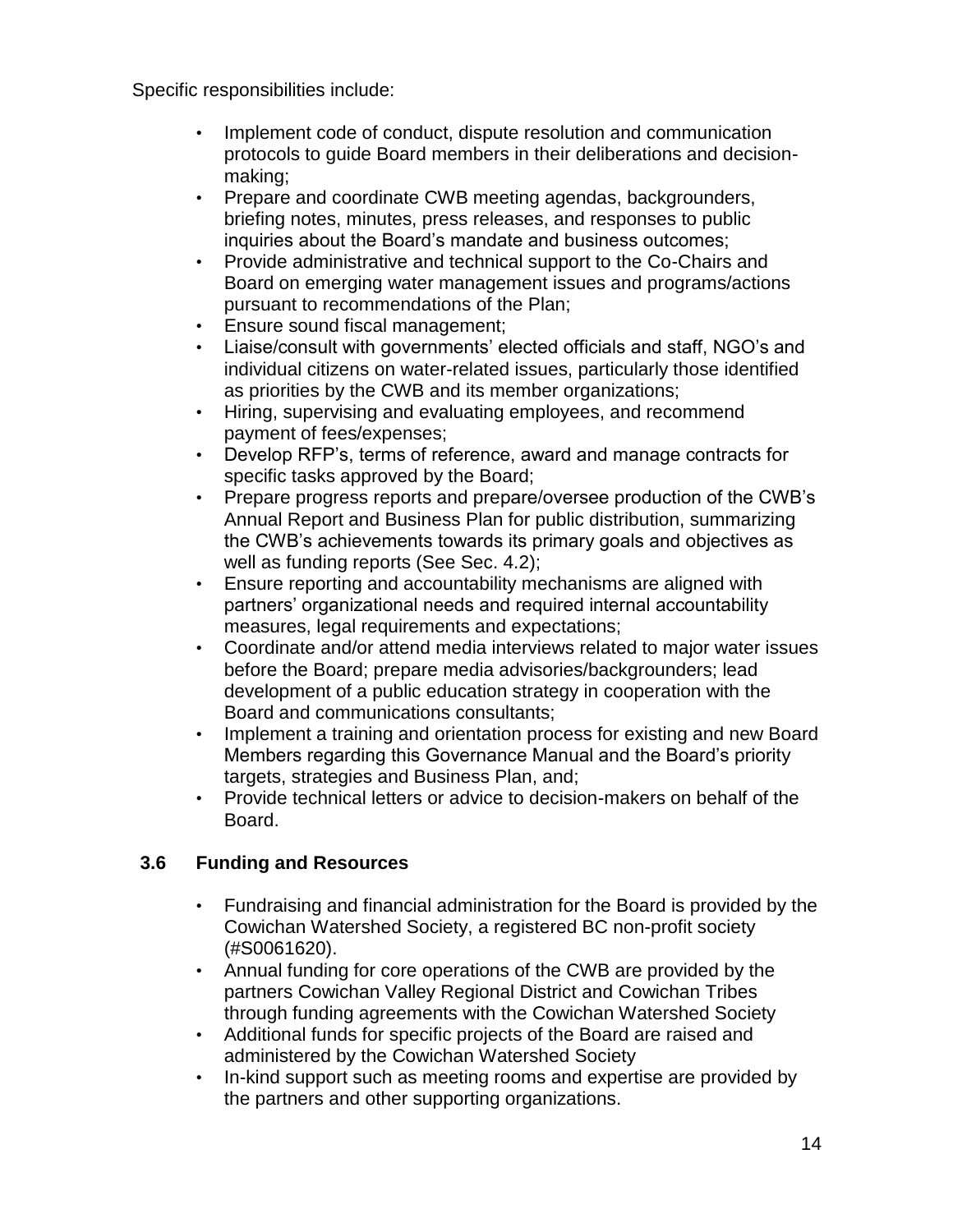Specific responsibilities include:

- Implement code of conduct, dispute resolution and communication protocols to guide Board members in their deliberations and decisionmaking;
- Prepare and coordinate CWB meeting agendas, backgrounders, briefing notes, minutes, press releases, and responses to public inquiries about the Board's mandate and business outcomes;
- Provide administrative and technical support to the Co-Chairs and Board on emerging water management issues and programs/actions pursuant to recommendations of the Plan;
- Ensure sound fiscal management;
- Liaise/consult with governments' elected officials and staff, NGO's and individual citizens on water-related issues, particularly those identified as priorities by the CWB and its member organizations;
- Hiring, supervising and evaluating employees, and recommend payment of fees/expenses;
- Develop RFP's, terms of reference, award and manage contracts for specific tasks approved by the Board;
- Prepare progress reports and prepare/oversee production of the CWB's Annual Report and Business Plan for public distribution, summarizing the CWB's achievements towards its primary goals and objectives as well as funding reports (See Sec. 4.2);
- Ensure reporting and accountability mechanisms are aligned with partners' organizational needs and required internal accountability measures, legal requirements and expectations;
- Coordinate and/or attend media interviews related to major water issues before the Board; prepare media advisories/backgrounders; lead development of a public education strategy in cooperation with the Board and communications consultants;
- Implement a training and orientation process for existing and new Board Members regarding this Governance Manual and the Board's priority targets, strategies and Business Plan, and;
- Provide technical letters or advice to decision-makers on behalf of the Board.

## <span id="page-13-0"></span>**3.6 Funding and Resources**

- Fundraising and financial administration for the Board is provided by the Cowichan Watershed Society, a registered BC non-profit society (#S0061620).
- Annual funding for core operations of the CWB are provided by the partners Cowichan Valley Regional District and Cowichan Tribes through funding agreements with the Cowichan Watershed Society
- Additional funds for specific projects of the Board are raised and administered by the Cowichan Watershed Society
- In-kind support such as meeting rooms and expertise are provided by the partners and other supporting organizations.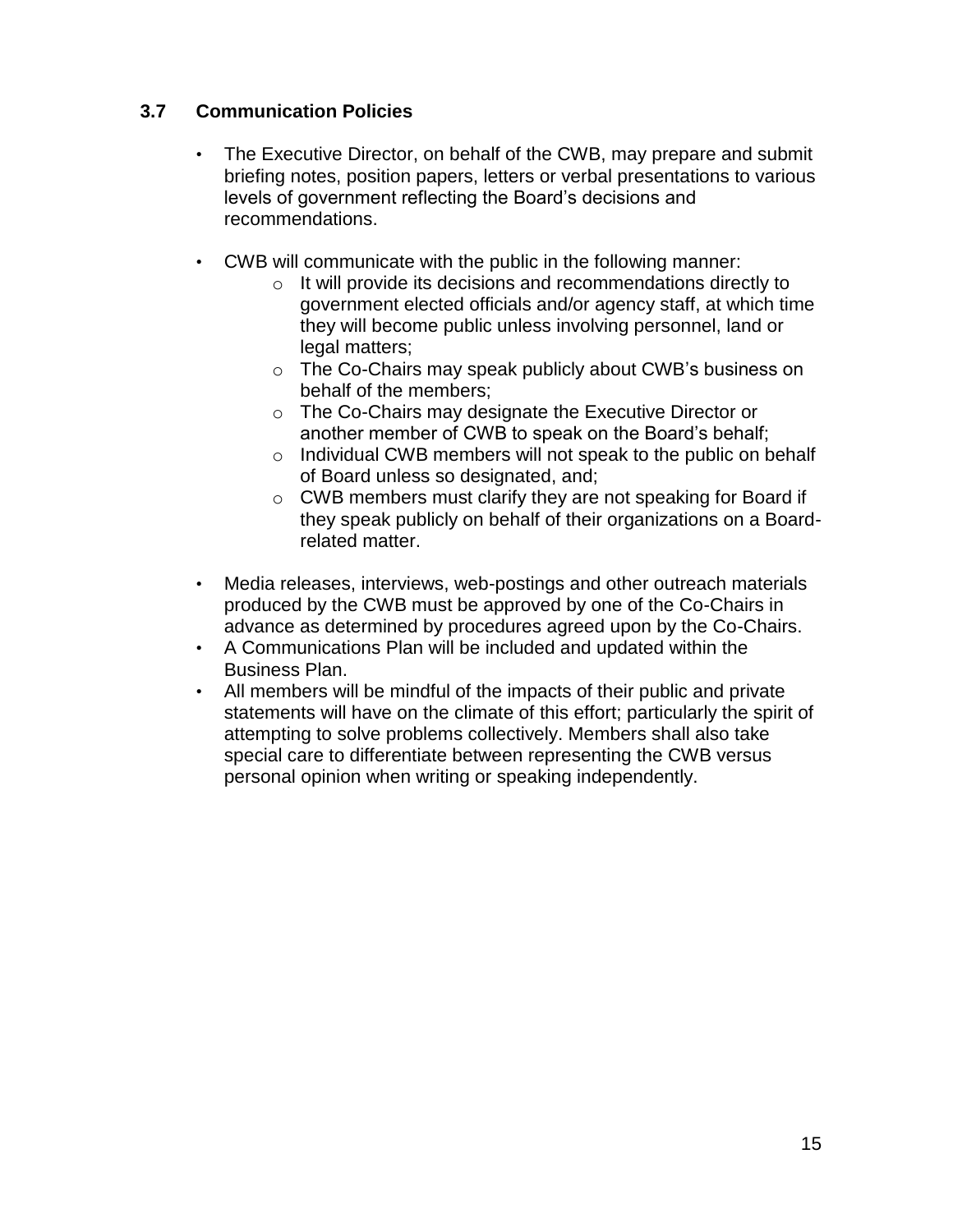## <span id="page-14-0"></span>**3.7 Communication Policies**

- The Executive Director, on behalf of the CWB, may prepare and submit briefing notes, position papers, letters or verbal presentations to various levels of government reflecting the Board's decisions and recommendations.
- CWB will communicate with the public in the following manner:
	- o It will provide its decisions and recommendations directly to government elected officials and/or agency staff, at which time they will become public unless involving personnel, land or legal matters;
	- o The Co-Chairs may speak publicly about CWB's business on behalf of the members;
	- o The Co-Chairs may designate the Executive Director or another member of CWB to speak on the Board's behalf;
	- o Individual CWB members will not speak to the public on behalf of Board unless so designated, and;
	- o CWB members must clarify they are not speaking for Board if they speak publicly on behalf of their organizations on a Boardrelated matter.
- Media releases, interviews, web-postings and other outreach materials produced by the CWB must be approved by one of the Co-Chairs in advance as determined by procedures agreed upon by the Co-Chairs.
- A Communications Plan will be included and updated within the Business Plan.
- All members will be mindful of the impacts of their public and private statements will have on the climate of this effort; particularly the spirit of attempting to solve problems collectively. Members shall also take special care to differentiate between representing the CWB versus personal opinion when writing or speaking independently.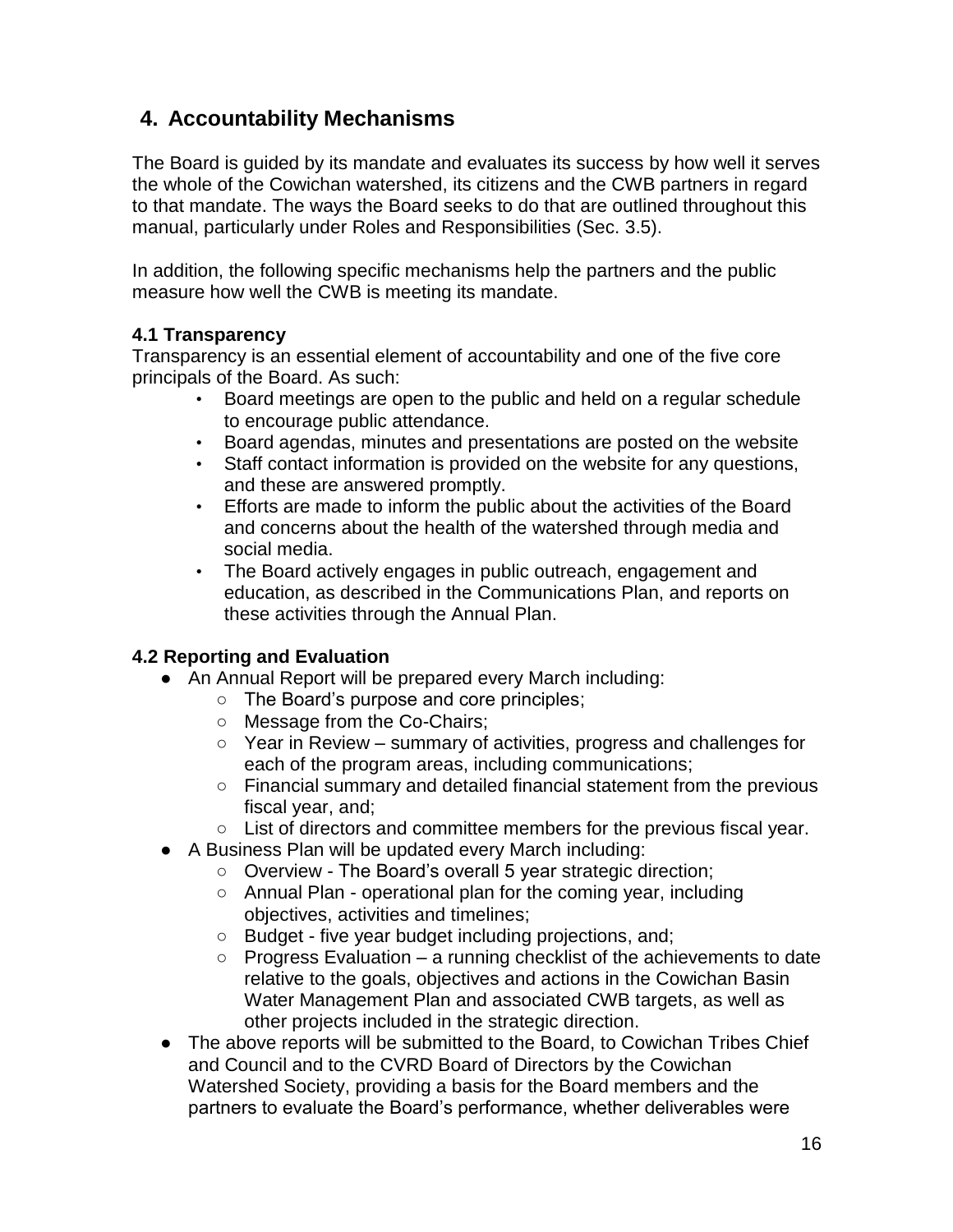# <span id="page-15-0"></span>**4. Accountability Mechanisms**

The Board is guided by its mandate and evaluates its success by how well it serves the whole of the Cowichan watershed, its citizens and the CWB partners in regard to that mandate. The ways the Board seeks to do that are outlined throughout this manual, particularly under Roles and Responsibilities (Sec. 3.5).

In addition, the following specific mechanisms help the partners and the public measure how well the CWB is meeting its mandate.

## **4.1 Transparency**

Transparency is an essential element of accountability and one of the five core principals of the Board. As such:

- Board meetings are open to the public and held on a regular schedule to encourage public attendance.
- Board agendas, minutes and presentations are posted on the website
- Staff contact information is provided on the website for any questions, and these are answered promptly.
- Efforts are made to inform the public about the activities of the Board and concerns about the health of the watershed through media and social media.
- The Board actively engages in public outreach, engagement and education, as described in the Communications Plan, and reports on these activities through the Annual Plan.

## **4.2 Reporting and Evaluation**

- An Annual Report will be prepared every March including:
	- The Board's purpose and core principles;
	- Message from the Co-Chairs:
	- $\circ$  Year in Review summary of activities, progress and challenges for each of the program areas, including communications;
	- Financial summary and detailed financial statement from the previous fiscal year, and;
	- $\circ$  List of directors and committee members for the previous fiscal year.
- A Business Plan will be updated every March including:
	- Overview The Board's overall 5 year strategic direction;
	- Annual Plan operational plan for the coming year, including objectives, activities and timelines;
	- Budget five year budget including projections, and;
	- $\circ$  Progress Evaluation a running checklist of the achievements to date relative to the goals, objectives and actions in the Cowichan Basin Water Management Plan and associated CWB targets, as well as other projects included in the strategic direction.
- The above reports will be submitted to the Board, to Cowichan Tribes Chief and Council and to the CVRD Board of Directors by the Cowichan Watershed Society, providing a basis for the Board members and the partners to evaluate the Board's performance, whether deliverables were